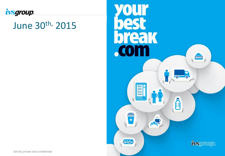

# June 30th, 2015



**Strictly private and confidential**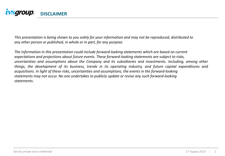

This presentation is being shown to you solely for your information and may not be reproduced, distributed to *any other person or published, in whole or in part, for any purpose.*

*The information in this presentation could include forward-looking statements which are based on current expectations and projections about future events. These forward-looking statements are subject to risks, uncertainties and assumptions about the Company and its subsidiaries and investments. Including, among other things, the development of its business, trends in its operating industry, and future capital expenditures and acquisitions. In light of these risks, uncertainties and assumptions, the events in the forward-looking statements may not occur. No one undertakes to publicly update or revise any such forward-looking statements.*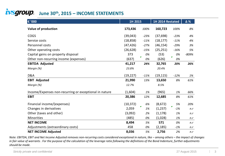### **i**VSgroup. [J](http://www.ivsgroup.it/index.asp)une 30<sup>th</sup>, 2015 – INCOME STATEMENTS

| € '000                                                 | 1H 2015   |         | 1H 2014 Restated | $\Delta$ % |         |
|--------------------------------------------------------|-----------|---------|------------------|------------|---------|
| Value of production                                    | 173,436   | 100%    | 160,723          | 100%       | 8%      |
| <b>COGS</b>                                            | (39,043)  | $-23%$  | (37, 698)        | $-23%$     | 4%      |
| Service costs                                          | (18, 858) | $-11%$  | (18, 177)        | $-11%$     | 4%      |
| Personnel costs                                        | (47, 426) | $-27%$  | (46, 154)        | $-29%$     | 3%      |
| Other operating costs                                  | (26, 628) | $-15%$  | (25, 251)        | $-16%$     | 5%      |
| Capital gains on property disposal                     | 373       | 0%      | (53)             | 0%         | $-809%$ |
| Other non-recurring income (expenses)                  | (637)     | F<br>0% | (626)            | г<br>0%    |         |
| <b>EBITDA Adjusted</b>                                 | 41,217    | 24%     | 32,765           | 20%        | 26%     |
| Margin (%)                                             | 23.8%     |         | 20.4%            |            |         |
| D&A                                                    | (19, 227) | $-11%$  | (19, 115)        | $-12%$     | 1%      |
| <b>EBIT Adjusted</b>                                   | 21,990    | 13%     | 13,650           | 8%         | 61%     |
| Margin (%)                                             | 12.7%     |         | 8.5%             |            |         |
| Income/Expenses non-recurring or exceptional in nature | (1,604)   | 1%      | (965)            | 1%         | 66%     |
| <b>EBIT</b>                                            | 20,386    | 12%     | 12,685           | 8%         | 61%     |
| Financial income/(expenses)                            | (10, 372) | 6%      | (8,672)          | 5%         | 20%     |
| Changes in derivatives                                 | 2,059     | F<br>1% | (1, 237)         | $-1%$      | n.r     |
| Other (taxes and other)                                | (3,092)   | 2%      | (1, 178)         | 1%         | n.r     |
| Minorities                                             | (485)     | 0%      | (1,028)          | 1%         | n.r     |
| <b>NET INCOME</b>                                      | 8,494     | 5%      | 571              | 0%         | n.r     |
| Adjustments (extraordinary costs)                      | 458       | 0%      | (2, 185)         | $-1%$      | n.r     |
| <b>NET INCOME Adjusted</b>                             | 8,036     | 5%      | 2,756            | 2%         | n.r     |

*Note: EBITDA, EBIT and Net Income Adjusted removes non-recurring costs considered exceptional in nature, like – among others – the impact of changes in fair value of warrants . For the purpose of the calculation of the leverage ratio following the definitions of the Bond Indenture, further adjustments should be made.*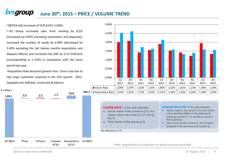### **ivsgroup. June 30th, 2015 – PRICE / VOLUME TREND**

EBITDA Adj increased of EUR 8,452 (+26%).

**IVS** Group increased sales from vending by 8.2% (increased by 0.05% excluding acquisitions and disposals), increased the number of vends by 6.99% (decreased by 1.69% excluding the last twelve months acquisitions and disposal effects) and increased the ASP by 0.51 EUR/cent (corresponding to 1.13%) in comparison with the same period last year.

Acquisition Rate becomes greater than Churn rate due to two large customers acquired in the first quarter 2015: Ospedale San Raffaele, Università di Salerno.

| $\epsilon$ millions |       |        |                   | 13.6  | 160.2                |  |
|---------------------|-------|--------|-------------------|-------|----------------------|--|
| 148.1               | 2.5   | $-2.5$ | $-1.5$            |       |                      |  |
|                     |       |        |                   |       |                      |  |
|                     |       |        |                   |       |                      |  |
|                     |       |        |                   |       |                      |  |
|                     |       |        |                   |       |                      |  |
|                     |       |        |                   |       |                      |  |
|                     |       |        |                   |       |                      |  |
|                     |       |        |                   |       |                      |  |
|                     |       |        |                   |       |                      |  |
| 1H 2014             | Price | Volume | Disposal<br>of BU | of BU | Acquisitions 1H 2015 |  |
|                     |       |        |                   |       |                      |  |



**CHURN RATE**\* is the ratio between:

- $\bullet$  Vends made in the previous Q by the clients which were lost by IVS during the  $Q$ :
- ♦ Total Vends of the previous Q

\*as defined by IVS

**ACQUISITION RATE\*** is the ratio between:

- $\bullet$  Vends made in the current Q by the clients which became clients in the previous Q (ramp-up period of 1-2 months is usual in this business):
- Total Vends of the current Q, net of clients acquired in the previous and current Q.

*Note: Acquisitions of corporates or going-concerns excluded.*

*Strictly private and confidential* 4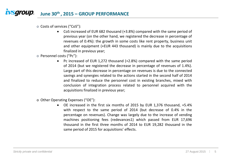#### **ivsgroup. June 30th , 2015 – GROUP PERFORMANCE**

- o Costs of services ("CoS"):
	- CoS increased of EUR 682 thousand (+3.8%) compared with the same period of previous year (on the other hand, we registered the decrease in percentage of revenues of 0.4%): the growth in some costs like rent property, business unit and other equipment (+EUR 443 thousand) is mainly due to the acquisitions finalized in previous year;
- o Personnel costs ("Pc"):
	- Pc increased of EUR 1,272 thousand (+2.8%) compared with the same period of 2014 (but we registered the decrease in percentage of revenues of 1.4%). Large part of this decrease in percentage on revenues is due to the connected savings and synergies related to the actions started in the second half of 2014 and finalized to reduce the personnel cost in existing branches, mixed with conclusion of integration process related to personnel acquired with the acquisitions finalized in previous year;
- o Other Operating Expenses ("OE"):
	- OE increased in the first six months of 2015 by EUR 1,376 thousand, +5.4% with respect to the same period of 2014 (but decrease of 0.4% in the percentage on revenues). Change was largely due to the increase of vending machines positioning fees (redevances1) which passed from EUR 17,696 thousand in the first three months of 2014 to EUR 19,282 thousand in the same period of 2015 for acquisitions' effects.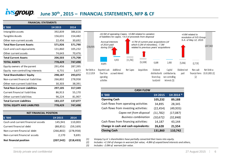### **ivsgroup. June 30th , 2015 – FINANCIAL STATEMENTS, NFP & CF**

| <b>FINANCIAL STATEMENTS</b>          |         |         |  |  |  |  |  |
|--------------------------------------|---------|---------|--|--|--|--|--|
| € '000                               | 1H 2015 | 2014    |  |  |  |  |  |
| Intangible assets                    | 392,839 | 386,616 |  |  |  |  |  |
| Tangible Assets                      | 156,631 | 154,482 |  |  |  |  |  |
| Other non-current assets             | 22,456  | 30,692  |  |  |  |  |  |
| <b>Total Non-Current Assets</b>      | 571,926 | 571,790 |  |  |  |  |  |
| Cash and cash equivalents            | 131,860 | 105,232 |  |  |  |  |  |
| Other current assets                 | 74,643  | 70,476  |  |  |  |  |  |
| <b>Total Current Assets</b>          | 206,503 | 175,708 |  |  |  |  |  |
| <b>TOTAL ASSETS</b>                  | 778,429 | 747,498 |  |  |  |  |  |
| Equity owners of the parent          | 291,456 | 287,395 |  |  |  |  |  |
| Equity non-controlling interests     | 6,731   | 5,677   |  |  |  |  |  |
| <b>Total Shareholders' Equity</b>    | 298,187 | 293,072 |  |  |  |  |  |
| Non-current financial liabilities    | 266,802 | 278,958 |  |  |  |  |  |
| Other non-current liabilities        | 30,303  | 38,391  |  |  |  |  |  |
| <b>Total Non-Current Liabilities</b> | 297,105 | 317,349 |  |  |  |  |  |
| Current financial liabilities        | 86,913  | 55,170  |  |  |  |  |  |
| Other current liabilities            | 96,224  | 81,907  |  |  |  |  |  |
| <b>Total Current Liabilities</b>     | 183,137 | 137,077 |  |  |  |  |  |
| <b>TOTAL EQUITY AND LIABILITIES</b>  | 778,429 | 747,498 |  |  |  |  |  |

| <b>NET FINANCIAL POSITION</b>     |            |            |  |  |  |  |
|-----------------------------------|------------|------------|--|--|--|--|
| € '000'                           | 1H 2015    | 2014       |  |  |  |  |
| Cash and current financial assets | 145,941    | 110,003    |  |  |  |  |
| Current financial debt            | (88, 851)  | (59, 169)  |  |  |  |  |
| Non-current financial debt        | (266, 802) | (278, 958) |  |  |  |  |
| Non-current financial assets      | 2,170      | 9,691      |  |  |  |  |
| <b>Net financial position</b>     | (207, 542) | (218, 433) |  |  |  |  |



| <b>CASH FLOW</b>                      |           |                      |
|---------------------------------------|-----------|----------------------|
| € '000                                | 1H 2015   | 1H 2014 <sup>®</sup> |
| <b>Opening Cash</b>                   | 105,232   | 89,188               |
| Cash flows from operating activities  | 34,895    | 28,345               |
| Cash flows from investing activities: | (22, 454) | (49, 935)            |
| Capex net from disposal               | (11, 782) | (17,087)             |
| <b>Business combination</b>           | (10, 672) | (32, 848)            |
| Cash flows from financing activities: | 14,187    | 43,144               |
| Change in cash and cash equivalents:  | 26,628    | 21,554               |
| <b>Closing Cash</b>                   | 131,860   | 110,742              |

*(1) Venpay S.p.A.'s shareholders have partially converted their loans into equity. (2) Includes: +2.1M of changes in warrant fair value, -4.8M of unpaid bond interests and others, (3) Includes: -2.0M of warrant fair value.*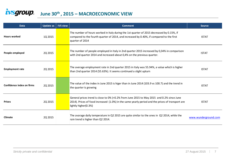## $\frac{1}{2}$  *Same 30<sup>th</sup>***</sup> , 2015 – MACROECONOMIC VIEW**

| <b>Data</b>               | Update as | <b>IVS view</b> | <b>Comment</b>                                                                                                                                                                                                        | <b>Source</b>        |
|---------------------------|-----------|-----------------|-----------------------------------------------------------------------------------------------------------------------------------------------------------------------------------------------------------------------|----------------------|
| <b>Hours worked</b>       | 1Q 2015   |                 | The number of hours worked in Italy during the 1st quarter of 2015 decreased by 0.15%, if<br>compared to the fourth quarter of 2014, and increased by 0.40%, if compared to the first<br>quarter of 2014              | <b>ISTAT</b>         |
| People employed           | 2Q 2015   |                 | The number of people employed in Italy in 2nd quarter 2015 increased by 0,34% in comparison<br>with 2nd quarter 2014 and increased about 0,4% on the previous quarter.                                                | <b>ISTAT</b>         |
| <b>Employment rate</b>    | 20 20 15  |                 | The average employment rate in 2nd quarter 2015 in Italy was 55.94%, a value which is higher<br>than 2nd quarter 2014 (55.63%). It seems continued a slight upturn                                                    | <b>ISTAT</b>         |
| Confidence index on firms | 20 2015   |                 | The value of the index in June 2015 is higer than in June 2014 (103.9 vs 100.7) and the trend in<br>the quarter is growing                                                                                            | <b>ISTAT</b>         |
| <b>Prices</b>             | 2Q 2015   |                 | General prices trend is close to 0% (+0.2% from June 2015 to May 2015 and 0.2% since June<br>2014). Prices of food increased (1.0%) in the same yearly period and the prices of transport are<br>lightly higher(0.3%) | <b>ISTAT</b>         |
| Climate                   | 2Q 2015   |                 | The avarage daily temperature in Q2 2015 are quite similar to the ones in Q2 2014, while the<br>rain trend is higher than Q2 2014.                                                                                    | www.wunderground.com |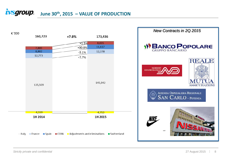## **i**VSgroup. June 30<sup>th</sup>, 2015 – VALUE OF PRODUCTION

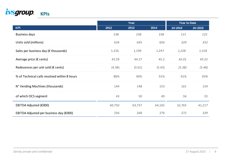

|                                                |        | Year   |        | <b>Year to Date</b> |         |  |
|------------------------------------------------|--------|--------|--------|---------------------|---------|--|
| KPI                                            | 2012   | 2013   | 2014   | 1H 2014             | 1H 2015 |  |
| <b>Business days</b>                           | 238    | 238    | 238    | 121                 | 122     |  |
| Units sold (millions)                          | 634    | 645    | 656    | 329                 | 352     |  |
| Sales per business day ( $\epsilon$ thousands) | 1,156  | 1,199  | 1,247  | 1,228               | 1,318   |  |
| Average price ( $\epsilon$ cents)              | 43.29  | 44.27  | 45.2   | 45.01               | 45.52   |  |
| Redevances per unit sold ( $\epsilon$ cents)   | (4.38) | (5.01) | (5.43) | (5.38)              | (5.48)  |  |
| % of Technical calls resolved within 8 hours   | 88%    | 90%    | 91%    | 91%                 | 93%     |  |
| N° Vending Machines (thousands)                | 144    | 148    | 153    | 161                 | 154     |  |
| of which OCS segment                           | 43     | 50     | 49     | 56                  | 55      |  |
| EBITDA Adjusted (€000)                         | 60,750 | 63,737 | 64,165 | 32,765              | 41,217  |  |
| EBITDA Adjusted per business day (€000)        | 256    | 268    | 270    | 272                 | 339     |  |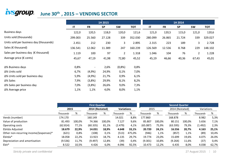### **June 30th , 2015 – VENDING SECTOR**

| <b><i>tysgroup.</i></b>                          | June 30th, 2015 - VENDING SECTOR |                          |           |                |            |                        |           |           |                |            |
|--------------------------------------------------|----------------------------------|--------------------------|-----------|----------------|------------|------------------------|-----------|-----------|----------------|------------|
|                                                  |                                  |                          | 1H 2015   |                |            |                        |           | 1H 2014   |                |            |
|                                                  | IT                               | <b>FR</b>                | <b>SP</b> | <b>SW</b>      | <b>TOT</b> | $\mathsf{I}\mathsf{T}$ | <b>FR</b> | <b>SP</b> | <b>SW</b>      | <b>TOT</b> |
| <b>Business days</b>                             | 122,0                            | 120,5                    | 118,0     | 120,0          | 121,6      | 121,0                  | 120,5     | 115,0     | 121,0          | 120,6      |
| Units sold (thousands)                           | 299.003                          | 25.560                   | 27.128    | 339            | 352.030    | 280.099                | 26.865    | 21.724    | 339            | 329.027    |
| Units sold per business day (thousands)          | 2.451                            | 212                      | 230       | 3              | 2.895      | 2.315                  | 223       | 189       | 3              | 2.728      |
| Sales ( $\epsilon$ thousand)                     | 136.541                          | 12.062                   | 11.389    | 247            | 160.239    | 126.569                | 12.536    | 8.768     | 229            | 148.102    |
| Sales per business day ( $\varepsilon$ thousand) | 1.119                            | 100                      | 97        | $\overline{2}$ | 1.318      | 1.046                  | 104       | 76        | $\overline{2}$ | 1.228      |
| Average price (€ cents)                          | 45,67                            | 47,19                    | 41,98     | 72,80          | 45,52      | 45,19                  | 46,66     | 40,36     | 67,43          | 45,01      |
| Δ% Business days                                 | 0,8%                             | $\overline{\phantom{a}}$ | 2,6%      | (0,8% )        | 0,8%       |                        |           |           |                |            |
| Δ% Units sold                                    | 6,7%                             | (4,9%                    | 24,9%     | 0,1%           | 7,0%       |                        |           |           |                |            |
| Δ% Units sold per business day                   | 5,9%                             | (4,9%                    | 21,7%     | 0,9%           | 6,1%       |                        |           |           |                |            |
| ∆% Sales                                         | 7,9%                             | (3,8%)                   | 29,9%     | 8,1%           | 8,2%       |                        |           |           |                |            |
| Δ% Sales per business day                        | 7,0%                             | (3,8%)                   | 26,6%     | 9,0%           | 7,3%       |                        |           |           |                |            |
| ∆% Average price                                 | 1,1%                             | 1,1%                     | 4,0%      | 8,0%           | 1,1%       |                        |           |           |                |            |

|                                        |           | <b>First Quarter</b> |                 |        |                   |        |           |        | <b>Second Quarter</b> |        |            |       |
|----------------------------------------|-----------|----------------------|-----------------|--------|-------------------|--------|-----------|--------|-----------------------|--------|------------|-------|
|                                        | 2015      |                      | 2014 (Restated) |        | <b>Variations</b> |        | 2015      |        | 2014 (Restated)       |        | Variations |       |
|                                        | Thousands | %                    | Thousands       | %      | Thousands         | %      | Thousands | %      | Thousands             | %      | Thousands  | %     |
| Vends (number)                         | 174.170   |                      | 160.149         |        | 14.021            | 8,8%   | 177.860   |        | 168.878               |        | 8.982      | 5,3%  |
| Value of production                    | 81.493    | 100.0%               | 74.366          | 100.0% | 7.127             | 9,6%   | 85.807    | 100.0% | 80.151                | 100.0% | 5.656      | 7,1%  |
| Operating costs                        | (62.814)  | 77,1%                | (60.335)        | 81,1%  | (2.479)           | 4,1%   | (65.087)  | 75,9%  | (63.595)              | 79,3%  | (1.492)    | 2,3%  |
| Ebitda Adjusted                        | 18.679    | 22,9%                | 14.031          | 18,9%  | 4.648             | 33,1%  | 20.720    | 24,1%  | 16.556                | 20,7%  | 4.163      | 25,1% |
| Other non-recurring income/(expenses)* | (621)     | 0,8%                 | (108)           | 0,1%   | (513)             | 475,0% | (946)     | 1,1%   | (857)                 | 1,1%   | (89)       | 10,4% |
| Ebitda*                                | 18.058    | 22,2%                | 13.923          | 18,7%  | 4.135             | 29,7%  | 19.774    | 23,0%  | 15.699                | 19,6%  | 4.075      | 26.0% |
| Depreciation and amortisation          | (9.536)   | 11,7%                | (9.497)         | 12,8%  | (39)              | 0,4%   | (9.301)   | 10,8%  | (9.264)               | 11,6%  | (37)       | 0,4%  |
| Ebit*                                  | 8.522     | 10,5%                | 4.426           | 6,0%   | 4.096             | 92,5%  | 10.473    | 12,2%  | 6.435                 | 8,0%   | 4.038      | 62,7% |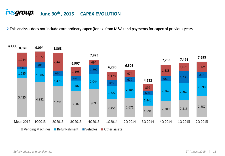### **ivsgroup June 30th , 2015 – CAPEX EVOLUTION**

This analysis does not include extraordinary capex (for ex. from M&A) and payments for capex of previous years.